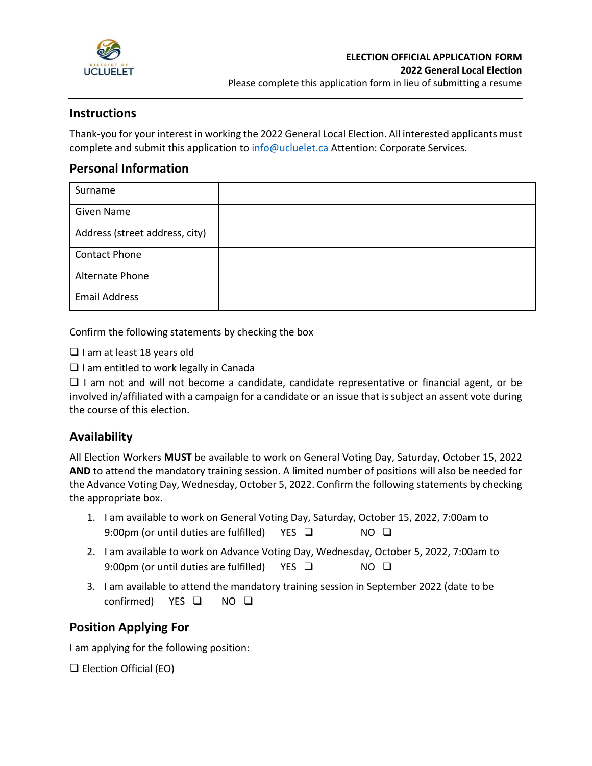

# **Instructions**

Thank-you for your interest in working the 2022 General Local Election. All interested applicants must complete and submit this application to [info@ucluelet.ca](mailto:info@ucluelet.ca) Attention: Corporate Services.

# **Personal Information**

| Surname                        |  |
|--------------------------------|--|
| <b>Given Name</b>              |  |
| Address (street address, city) |  |
| <b>Contact Phone</b>           |  |
| <b>Alternate Phone</b>         |  |
| <b>Email Address</b>           |  |

Confirm the following statements by checking the box

❑ I am at least 18 years old

❑ I am entitled to work legally in Canada

❑ I am not and will not become a candidate, candidate representative or financial agent, or be involved in/affiliated with a campaign for a candidate or an issue that is subject an assent vote during the course of this election.

# **Availability**

All Election Workers **MUST** be available to work on General Voting Day, Saturday, October 15, 2022 **AND** to attend the mandatory training session. A limited number of positions will also be needed for the Advance Voting Day, Wednesday, October 5, 2022. Confirm the following statements by checking the appropriate box.

- 1. I am available to work on General Voting Day, Saturday, October 15, 2022, 7:00am to 9:00pm (or until duties are fulfilled) YES  $\Box$  NO  $\Box$
- 2. I am available to work on Advance Voting Day, Wednesday, October 5, 2022, 7:00am to 9:00pm (or until duties are fulfilled) YES □ NO □
- 3. I am available to attend the mandatory training session in September 2022 (date to be confirmed) YES ❑ NO ❑

# **Position Applying For**

I am applying for the following position:

❑ Election Official (EO)